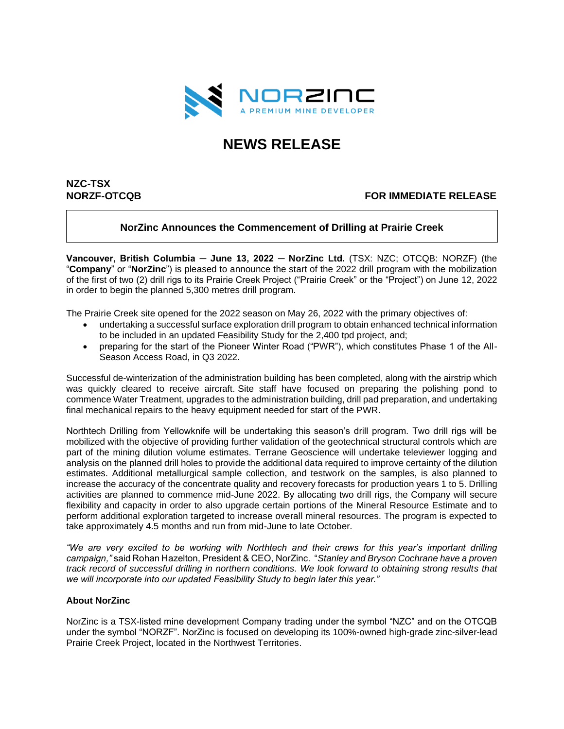

# **NEWS RELEASE**

# **NZC-TSX**

# **NORZF-OTCQB FOR IMMEDIATE RELEASE**

# **NorZinc Announces the Commencement of Drilling at Prairie Creek**

Vancouver, British Columbia - June 13, 2022 - NorZinc Ltd. (TSX: NZC; OTCQB: NORZF) (the "**Company**" or "**NorZinc**") is pleased to announce the start of the 2022 drill program with the mobilization of the first of two (2) drill rigs to its Prairie Creek Project ("Prairie Creek" or the "Project") on June 12, 2022 in order to begin the planned 5,300 metres drill program.

The Prairie Creek site opened for the 2022 season on May 26, 2022 with the primary objectives of:

- undertaking a successful surface exploration drill program to obtain enhanced technical information to be included in an updated Feasibility Study for the 2,400 tpd project, and;
- preparing for the start of the Pioneer Winter Road ("PWR"), which constitutes Phase 1 of the All-Season Access Road, in Q3 2022.

Successful de-winterization of the administration building has been completed, along with the airstrip which was quickly cleared to receive aircraft. Site staff have focused on preparing the polishing pond to commence Water Treatment, upgrades to the administration building, drill pad preparation, and undertaking final mechanical repairs to the heavy equipment needed for start of the PWR.

Northtech Drilling from Yellowknife will be undertaking this season's drill program. Two drill rigs will be mobilized with the objective of providing further validation of the geotechnical structural controls which are part of the mining dilution volume estimates. Terrane Geoscience will undertake televiewer logging and analysis on the planned drill holes to provide the additional data required to improve certainty of the dilution estimates. Additional metallurgical sample collection, and testwork on the samples, is also planned to increase the accuracy of the concentrate quality and recovery forecasts for production years 1 to 5. Drilling activities are planned to commence mid-June 2022. By allocating two drill rigs, the Company will secure flexibility and capacity in order to also upgrade certain portions of the Mineral Resource Estimate and to perform additional exploration targeted to increase overall mineral resources. The program is expected to take approximately 4.5 months and run from mid-June to late October.

*"We are very excited to be working with Northtech and their crews for this year's important drilling campaign,"* said Rohan Hazelton, President & CEO, NorZinc. "*Stanley and Bryson Cochrane have a proven track record of successful drilling in northern conditions. We look forward to obtaining strong results that we will incorporate into our updated Feasibility Study to begin later this year."*

#### **About NorZinc**

NorZinc is a TSX-listed mine development Company trading under the symbol "NZC" and on the OTCQB under the symbol "NORZF". NorZinc is focused on developing its 100%-owned high-grade zinc-silver-lead Prairie Creek Project, located in the Northwest Territories.